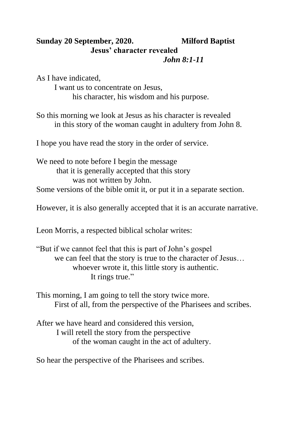## **Sunday 20 September, 2020. Milford Baptist Jesus' character revealed** *John 8:1-11*

As I have indicated, I want us to concentrate on Jesus, his character, his wisdom and his purpose.

So this morning we look at Jesus as his character is revealed in this story of the woman caught in adultery from John 8.

I hope you have read the story in the order of service.

We need to note before I begin the message that it is generally accepted that this story was not written by John. Some versions of the bible omit it, or put it in a separate section.

However, it is also generally accepted that it is an accurate narrative.

Leon Morris, a respected biblical scholar writes:

"But if we cannot feel that this is part of John's gospel we can feel that the story is true to the character of Jesus… whoever wrote it, this little story is authentic. It rings true."

This morning, I am going to tell the story twice more. First of all, from the perspective of the Pharisees and scribes.

After we have heard and considered this version, I will retell the story from the perspective of the woman caught in the act of adultery.

So hear the perspective of the Pharisees and scribes.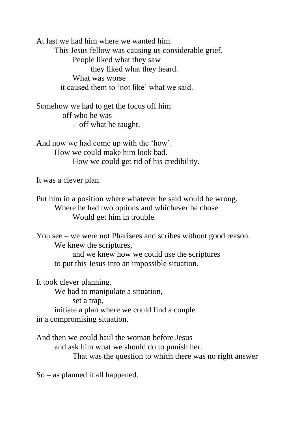At last we had him where we wanted him.

This Jesus fellow was causing us considerable grief.

People liked what they saw

they liked what they heard.

What was worse

– it caused them to 'not like' what we said.

Somehow we had to get the focus off him – off who he was - off what he taught.

And now we had come up with the 'how'. How we could make him look bad. How we could get rid of his credibility.

It was a clever plan.

Put him in a position where whatever he said would be wrong. Where he had two options and whichever he chose Would get him in trouble.

You see – we were not Pharisees and scribes without good reason. We knew the scriptures,

and we knew how we could use the scriptures to put this Jesus into an impossible situation.

It took clever planning.

We had to manipulate a situation,

set a trap,

initiate a plan where we could find a couple in a compromising situation.

And then we could haul the woman before Jesus and ask him what we should do to punish her. That was the question to which there was no right answer

So – as planned it all happened.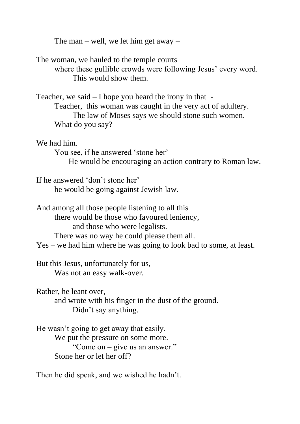The man – well, we let him get away –

The woman, we hauled to the temple courts where these gullible crowds were following Jesus' every word. This would show them.

Teacher, we said  $-1$  hope you heard the irony in that -Teacher, this woman was caught in the very act of adultery. The law of Moses says we should stone such women. What do you say?

We had him.

You see, if he answered 'stone her'

He would be encouraging an action contrary to Roman law.

If he answered 'don't stone her' he would be going against Jewish law.

And among all those people listening to all this there would be those who favoured leniency, and those who were legalists. There was no way he could please them all.

Yes – we had him where he was going to look bad to some, at least.

But this Jesus, unfortunately for us, Was not an easy walk-over.

Rather, he leant over,

and wrote with his finger in the dust of the ground. Didn't say anything.

He wasn't going to get away that easily. We put the pressure on some more. "Come on – give us an answer." Stone her or let her off?

Then he did speak, and we wished he hadn't.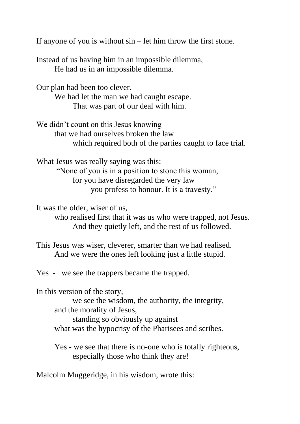If anyone of you is without sin – let him throw the first stone.

Instead of us having him in an impossible dilemma, He had us in an impossible dilemma.

Our plan had been too clever. We had let the man we had caught escape. That was part of our deal with him.

We didn't count on this Jesus knowing that we had ourselves broken the law which required both of the parties caught to face trial.

What Jesus was really saying was this:

"None of you is in a position to stone this woman, for you have disregarded the very law you profess to honour. It is a travesty."

It was the older, wiser of us,

who realised first that it was us who were trapped, not Jesus. And they quietly left, and the rest of us followed.

This Jesus was wiser, cleverer, smarter than we had realised. And we were the ones left looking just a little stupid.

Yes - we see the trappers became the trapped.

In this version of the story, we see the wisdom, the authority, the integrity, and the morality of Jesus, standing so obviously up against what was the hypocrisy of the Pharisees and scribes.

Yes - we see that there is no-one who is totally righteous, especially those who think they are!

Malcolm Muggeridge, in his wisdom, wrote this: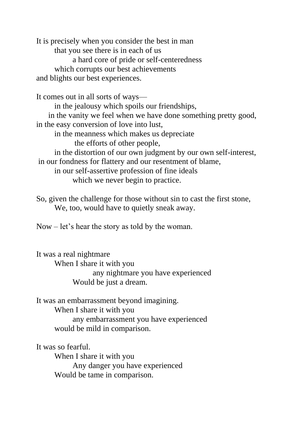It is precisely when you consider the best in man that you see there is in each of us a hard core of pride or self-centeredness which corrupts our best achievements and blights our best experiences.

It comes out in all sorts of ways—

in the jealousy which spoils our friendships,

 in the vanity we feel when we have done something pretty good, in the easy conversion of love into lust,

in the meanness which makes us depreciate the efforts of other people,

in the distortion of our own judgment by our own self-interest, in our fondness for flattery and our resentment of blame, in our self-assertive profession of fine ideals

which we never begin to practice.

So, given the challenge for those without sin to cast the first stone, We, too, would have to quietly sneak away.

Now – let's hear the story as told by the woman.

It was a real nightmare When I share it with you any nightmare you have experienced Would be just a dream.

It was an embarrassment beyond imagining. When I share it with you any embarrassment you have experienced would be mild in comparison.

It was so fearful. When I share it with you Any danger you have experienced Would be tame in comparison.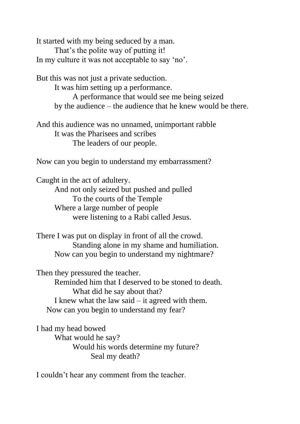It started with my being seduced by a man. That's the polite way of putting it! In my culture it was not acceptable to say 'no'.

But this was not just a private seduction. It was him setting up a performance. A performance that would see me being seized by the audience – the audience that he knew would be there.

And this audience was no unnamed, unimportant rabble It was the Pharisees and scribes The leaders of our people.

Now can you begin to understand my embarrassment?

Caught in the act of adultery. And not only seized but pushed and pulled To the courts of the Temple Where a large number of people were listening to a Rabi called Jesus.

There I was put on display in front of all the crowd. Standing alone in my shame and humiliation. Now can you begin to understand my nightmare?

Then they pressured the teacher. Reminded him that I deserved to be stoned to death. What did he say about that? I knew what the law said – it agreed with them. Now can you begin to understand my fear?

I had my head bowed What would he say? Would his words determine my future? Seal my death?

I couldn't hear any comment from the teacher.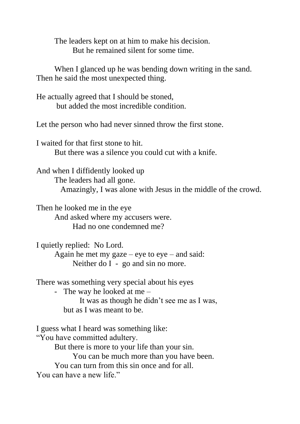The leaders kept on at him to make his decision. But he remained silent for some time.

When I glanced up he was bending down writing in the sand. Then he said the most unexpected thing.

He actually agreed that I should be stoned, but added the most incredible condition.

Let the person who had never sinned throw the first stone.

I waited for that first stone to hit. But there was a silence you could cut with a knife.

And when I diffidently looked up The leaders had all gone. Amazingly, I was alone with Jesus in the middle of the crowd.

Then he looked me in the eye And asked where my accusers were. Had no one condemned me?

I quietly replied: No Lord. Again he met my gaze – eye to  $eye$  – and said: Neither do I - go and sin no more.

There was something very special about his eyes

- The way he looked at me –

 It was as though he didn't see me as I was, but as I was meant to be.

I guess what I heard was something like:

"You have committed adultery.

But there is more to your life than your sin.

You can be much more than you have been.

You can turn from this sin once and for all.

You can have a new life."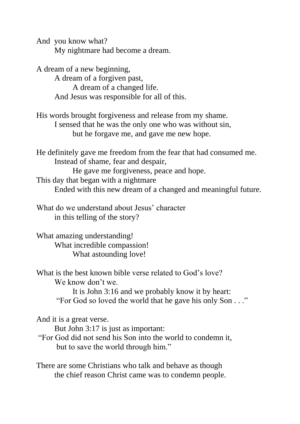And you know what? My nightmare had become a dream.

A dream of a new beginning, A dream of a forgiven past, A dream of a changed life. And Jesus was responsible for all of this.

His words brought forgiveness and release from my shame. I sensed that he was the only one who was without sin, but he forgave me, and gave me new hope.

He definitely gave me freedom from the fear that had consumed me. Instead of shame, fear and despair, He gave me forgiveness, peace and hope. This day that began with a nightmare Ended with this new dream of a changed and meaningful future.

What do we understand about Jesus' character in this telling of the story?

What amazing understanding! What incredible compassion! What astounding love!

What is the best known bible verse related to God's love? We know don't we.

> It is John 3:16 and we probably know it by heart: "For God so loved the world that he gave his only Son . . ."

And it is a great verse.

But John 3:17 is just as important:

"For God did not send his Son into the world to condemn it, but to save the world through him."

There are some Christians who talk and behave as though the chief reason Christ came was to condemn people.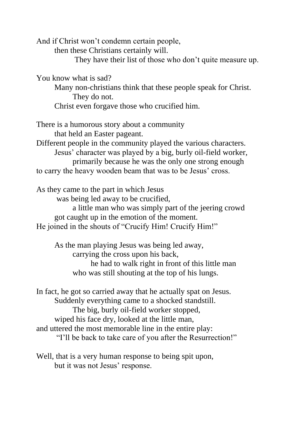And if Christ won't condemn certain people,

then these Christians certainly will.

They have their list of those who don't quite measure up.

You know what is sad?

Many non-christians think that these people speak for Christ. They do not.

Christ even forgave those who crucified him.

There is a humorous story about a community that held an Easter pageant.

Different people in the community played the various characters. Jesus' character was played by a big, burly oil-field worker, primarily because he was the only one strong enough to carry the heavy wooden beam that was to be Jesus' cross.

As they came to the part in which Jesus was being led away to be crucified, a little man who was simply part of the jeering crowd got caught up in the emotion of the moment. He joined in the shouts of "Crucify Him! Crucify Him!"

As the man playing Jesus was being led away, carrying the cross upon his back, he had to walk right in front of this little man who was still shouting at the top of his lungs.

In fact, he got so carried away that he actually spat on Jesus. Suddenly everything came to a shocked standstill. The big, burly oil-field worker stopped, wiped his face dry, looked at the little man, and uttered the most memorable line in the entire play: "I'll be back to take care of you after the Resurrection!"

Well, that is a very human response to being spit upon, but it was not Jesus' response.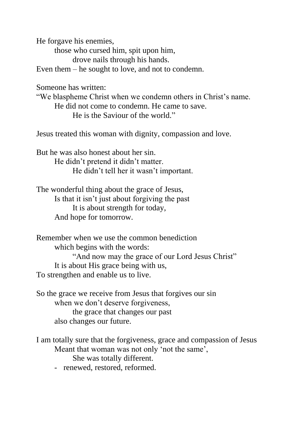He forgave his enemies,

those who cursed him, spit upon him,

drove nails through his hands.

Even them – he sought to love, and not to condemn.

Someone has written:

"We blaspheme Christ when we condemn others in Christ's name. He did not come to condemn. He came to save. He is the Saviour of the world."

Jesus treated this woman with dignity, compassion and love.

But he was also honest about her sin. He didn't pretend it didn't matter. He didn't tell her it wasn't important.

The wonderful thing about the grace of Jesus, Is that it isn't just about forgiving the past It is about strength for today, And hope for tomorrow.

Remember when we use the common benediction which begins with the words: "And now may the grace of our Lord Jesus Christ" It is about His grace being with us, To strengthen and enable us to live.

So the grace we receive from Jesus that forgives our sin when we don't deserve forgiveness, the grace that changes our past also changes our future.

I am totally sure that the forgiveness, grace and compassion of Jesus Meant that woman was not only 'not the same',

She was totally different.

- renewed, restored, reformed.